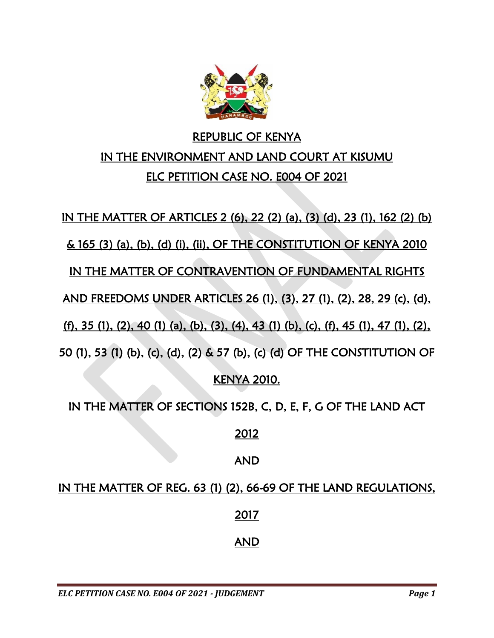

# REPUBLIC OF KENYA IN THE ENVIRONMENT AND LAND COURT AT KISUMU ELC PETITION CASE NO. E004 OF 2021

IN THE MATTER OF ARTICLES 2 (6), 22 (2) (a), (3) (d), 23 (1), 162 (2) (b) & 165 (3) (a), (b), (d) (i), (ii), OF THE CONSTITUTION OF KENYA 2010 IN THE MATTER OF CONTRAVENTION OF FUNDAMENTAL RIGHTS AND FREEDOMS UNDER ARTICLES 26 (1), (3), 27 (1), (2), 28, 29 (c), (d), (f), 35 (1), (2), 40 (1) (a), (b), (3), (4), 43 (1) (b), (c), (f), 45 (1), 47 (1), (2), 50 (1), 53 (1) (b), (c), (d), (2) & 57 (b), (c) (d) OF THE CONSTITUTION OF KENYA 2010.

IN THE MATTER OF SECTIONS 152B, C, D, E, F, G OF THE LAND ACT

2012

### AND

IN THE MATTER OF REG. 63 (1) (2), 66-69 OF THE LAND REGULATIONS, 2017 AND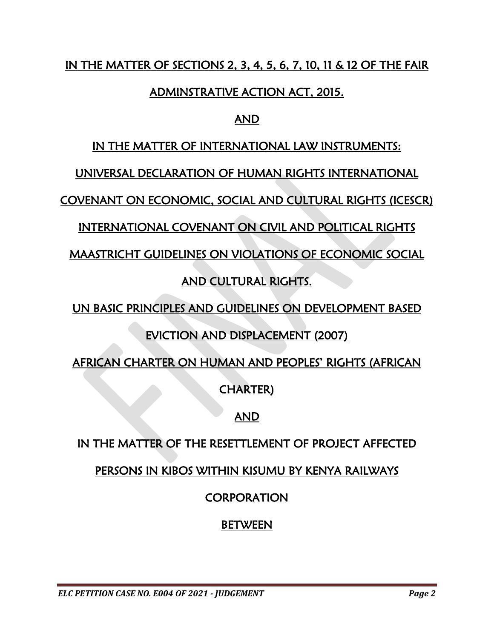## IN THE MATTER OF SECTIONS 2, 3, 4, 5, 6, 7, 10, 11 & 12 OF THE FAIR

## ADMINSTRATIVE ACTION ACT, 2015.

## AND

## IN THE MATTER OF INTERNATIONAL LAW INSTRUMENTS:

UNIVERSAL DECLARATION OF HUMAN RIGHTS INTERNATIONAL

COVENANT ON ECONOMIC, SOCIAL AND CULTURAL RIGHTS (ICESCR)

INTERNATIONAL COVENANT ON CIVIL AND POLITICAL RIGHTS

MAASTRICHT GUIDELINES ON VIOLATIONS OF ECONOMIC SOCIAL

## AND CULTURAL RIGHTS.

UN BASIC PRINCIPLES AND GUIDELINES ON DEVELOPMENT BASED

## EVICTION AND DISPLACEMENT (2007)

AFRICAN CHARTER ON HUMAN AND PEOPLES' RIGHTS (AFRICAN

CHARTER)

## AND

## IN THE MATTER OF THE RESETTLEMENT OF PROJECT AFFECTED

## PERSONS IN KIBOS WITHIN KISUMU BY KENYA RAILWAYS

## **CORPORATION**

## **BETWEEN**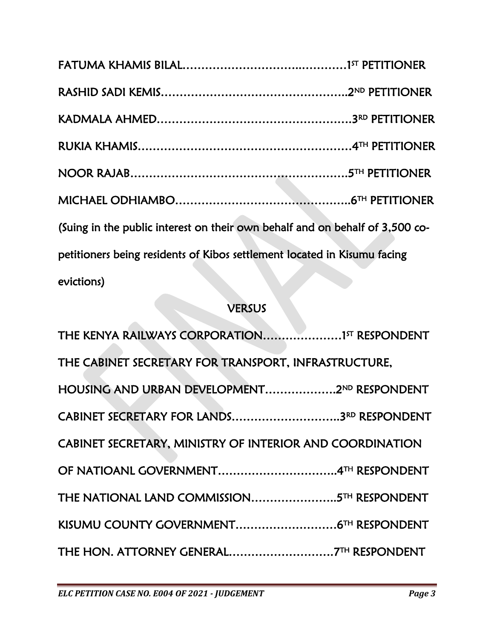| (Suing in the public interest on their own behalf and on behalf of 3,500 co- |  |
|------------------------------------------------------------------------------|--|
| petitioners being residents of Kibos settlement located in Kisumu facing     |  |
| evictions)                                                                   |  |

| <b>CVILLIUIDI</b>                                        |
|----------------------------------------------------------|
| <b>VERSUS</b>                                            |
| THE KENYA RAILWAYS CORPORATION15T RESPONDENT             |
| THE CABINET SECRETARY FOR TRANSPORT, INFRASTRUCTURE,     |
| HOUSING AND URBAN DEVELOPMENT2ND RESPONDENT              |
|                                                          |
| CABINET SECRETARY, MINISTRY OF INTERIOR AND COORDINATION |
|                                                          |
| THE NATIONAL LAND COMMISSION5TH RESPONDENT               |
|                                                          |
|                                                          |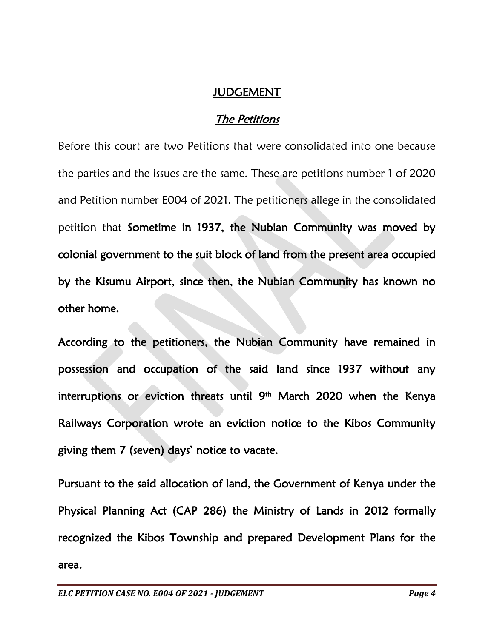#### JUDGEMENT

## The Petitions

Before this court are two Petitions that were consolidated into one because the parties and the issues are the same. These are petitions number 1 of 2020 and Petition number E004 of 2021. The petitioners allege in the consolidated petition that Sometime in 1937, the Nubian Community was moved by colonial government to the suit block of land from the present area occupied by the Kisumu Airport, since then, the Nubian Community has known no other home.

According to the petitioners, the Nubian Community have remained in possession and occupation of the said land since 1937 without any interruptions or eviction threats until 9th March 2020 when the Kenya Railways Corporation wrote an eviction notice to the Kibos Community giving them 7 (seven) days' notice to vacate.

Pursuant to the said allocation of land, the Government of Kenya under the Physical Planning Act (CAP 286) the Ministry of Lands in 2012 formally recognized the Kibos Township and prepared Development Plans for the area.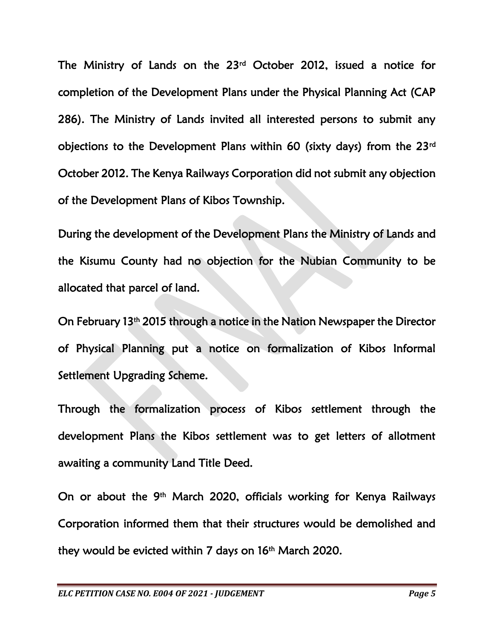The Ministry of Lands on the 23rd October 2012, issued a notice for completion of the Development Plans under the Physical Planning Act (CAP 286). The Ministry of Lands invited all interested persons to submit any objections to the Development Plans within 60 (sixty days) from the 23rd October 2012. The Kenya Railways Corporation did not submit any objection of the Development Plans of Kibos Township.

During the development of the Development Plans the Ministry of Lands and the Kisumu County had no objection for the Nubian Community to be allocated that parcel of land.

On February 13<sup>th</sup> 2015 through a notice in the Nation Newspaper the Director of Physical Planning put a notice on formalization of Kibos Informal Settlement Upgrading Scheme.

Through the formalization process of Kibos settlement through the development Plans the Kibos settlement was to get letters of allotment awaiting a community Land Title Deed.

On or about the 9<sup>th</sup> March 2020, officials working for Kenya Railways Corporation informed them that their structures would be demolished and they would be evicted within 7 days on 16th March 2020.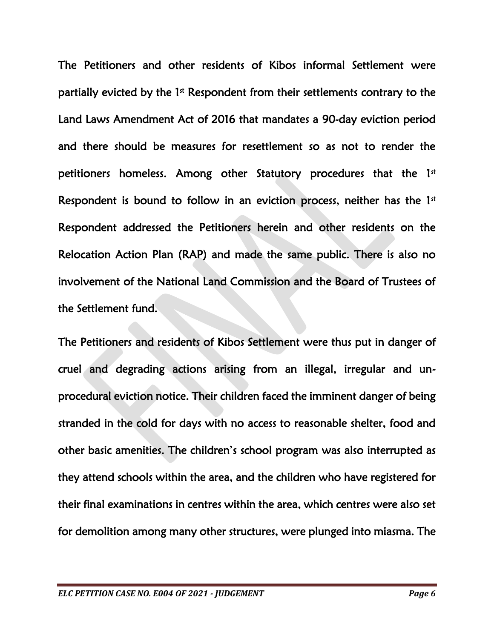The Petitioners and other residents of Kibos informal Settlement were partially evicted by the 1<sup>st</sup> Respondent from their settlements contrary to the Land Laws Amendment Act of 2016 that mandates a 90-day eviction period and there should be measures for resettlement so as not to render the petitioners homeless. Among other Statutory procedures that the 1<sup>st</sup> Respondent is bound to follow in an eviction process, neither has the  $1<sup>st</sup>$ Respondent addressed the Petitioners herein and other residents on the Relocation Action Plan (RAP) and made the same public. There is also no involvement of the National Land Commission and the Board of Trustees of the Settlement fund.

The Petitioners and residents of Kibos Settlement were thus put in danger of cruel and degrading actions arising from an illegal, irregular and unprocedural eviction notice. Their children faced the imminent danger of being stranded in the cold for days with no access to reasonable shelter, food and other basic amenities. The children's school program was also interrupted as they attend schools within the area, and the children who have registered for their final examinations in centres within the area, which centres were also set for demolition among many other structures, were plunged into miasma. The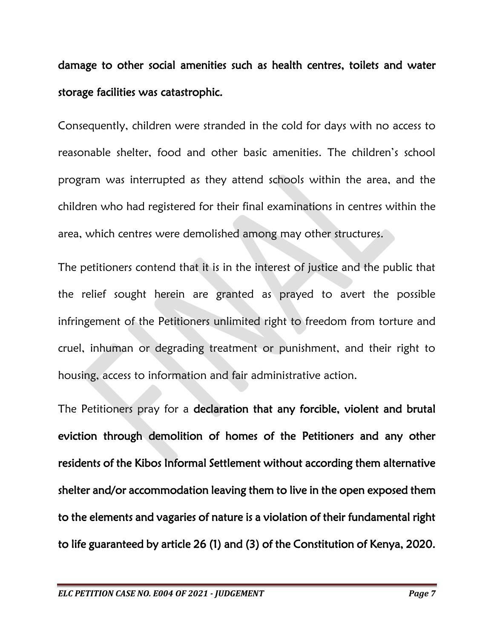damage to other social amenities such as health centres, toilets and water storage facilities was catastrophic.

Consequently, children were stranded in the cold for days with no access to reasonable shelter, food and other basic amenities. The children's school program was interrupted as they attend schools within the area, and the children who had registered for their final examinations in centres within the area, which centres were demolished among may other structures.

The petitioners contend that it is in the interest of justice and the public that the relief sought herein are granted as prayed to avert the possible infringement of the Petitioners unlimited right to freedom from torture and cruel, inhuman or degrading treatment or punishment, and their right to housing, access to information and fair administrative action.

The Petitioners pray for a declaration that any forcible, violent and brutal eviction through demolition of homes of the Petitioners and any other residents of the Kibos Informal Settlement without according them alternative shelter and/or accommodation leaving them to live in the open exposed them to the elements and vagaries of nature is a violation of their fundamental right to life guaranteed by article 26 (1) and (3) of the Constitution of Kenya, 2020.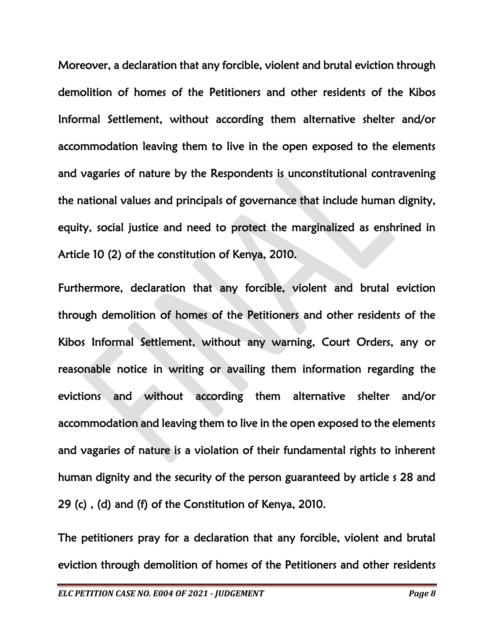Moreover, a declaration that any forcible, violent and brutal eviction through demolition of homes of the Petitioners and other residents of the Kibos Informal Settlement, without according them alternative shelter and/or accommodation leaving them to live in the open exposed to the elements and vagaries of nature by the Respondents is unconstitutional contravening the national values and principals of governance that include human dignity, equity, social justice and need to protect the marginalized as enshrined in Article 10 (2) of the constitution of Kenya, 2010.

Furthermore, declaration that any forcible, violent and brutal eviction through demolition of homes of the Petitioners and other residents of the Kibos Informal Settlement, without any warning, Court Orders, any or reasonable notice in writing or availing them information regarding the evictions and without according them alternative shelter and/or accommodation and leaving them to live in the open exposed to the elements and vagaries of nature is a violation of their fundamental rights to inherent human dignity and the security of the person guaranteed by article s 28 and 29 (c) , (d) and (f) of the Constitution of Kenya, 2010.

The petitioners pray for a declaration that any forcible, violent and brutal eviction through demolition of homes of the Petitioners and other residents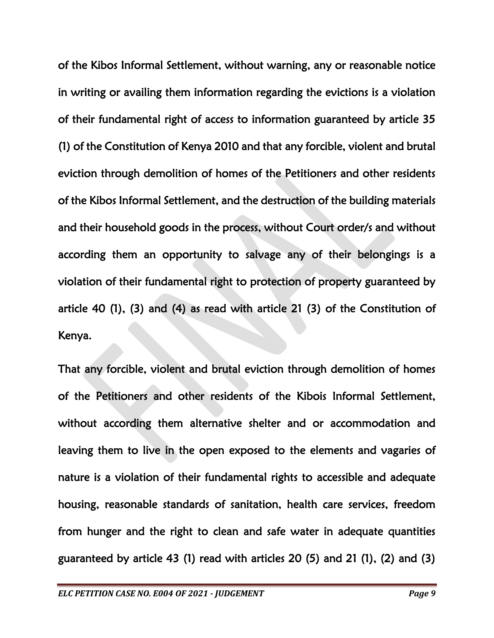of the Kibos Informal Settlement, without warning, any or reasonable notice in writing or availing them information regarding the evictions is a violation of their fundamental right of access to information guaranteed by article 35 (1) of the Constitution of Kenya 2010 and that any forcible, violent and brutal eviction through demolition of homes of the Petitioners and other residents of the Kibos Informal Settlement, and the destruction of the building materials and their household goods in the process, without Court order/s and without according them an opportunity to salvage any of their belongings is a violation of their fundamental right to protection of property guaranteed by article 40 (1), (3) and (4) as read with article 21 (3) of the Constitution of Kenya.

That any forcible, violent and brutal eviction through demolition of homes of the Petitioners and other residents of the Kibois Informal Settlement, without according them alternative shelter and or accommodation and leaving them to live in the open exposed to the elements and vagaries of nature is a violation of their fundamental rights to accessible and adequate housing, reasonable standards of sanitation, health care services, freedom from hunger and the right to clean and safe water in adequate quantities guaranteed by article 43 (1) read with articles 20 (5) and 21 (1), (2) and (3)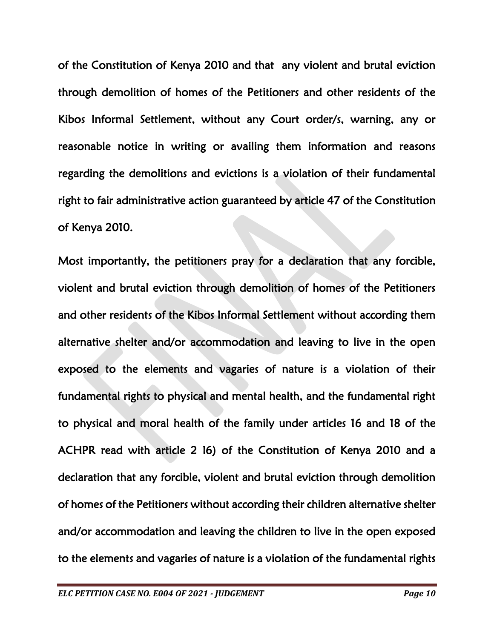of the Constitution of Kenya 2010 and that any violent and brutal eviction through demolition of homes of the Petitioners and other residents of the Kibos Informal Settlement, without any Court order/s, warning, any or reasonable notice in writing or availing them information and reasons regarding the demolitions and evictions is a violation of their fundamental right to fair administrative action guaranteed by article 47 of the Constitution of Kenya 2010.

Most importantly, the petitioners pray for a declaration that any forcible, violent and brutal eviction through demolition of homes of the Petitioners and other residents of the Kibos Informal Settlement without according them alternative shelter and/or accommodation and leaving to live in the open exposed to the elements and vagaries of nature is a violation of their fundamental rights to physical and mental health, and the fundamental right to physical and moral health of the family under articles 16 and 18 of the ACHPR read with article 2 I6) of the Constitution of Kenya 2010 and a declaration that any forcible, violent and brutal eviction through demolition of homes of the Petitioners without according their children alternative shelter and/or accommodation and leaving the children to live in the open exposed to the elements and vagaries of nature is a violation of the fundamental rights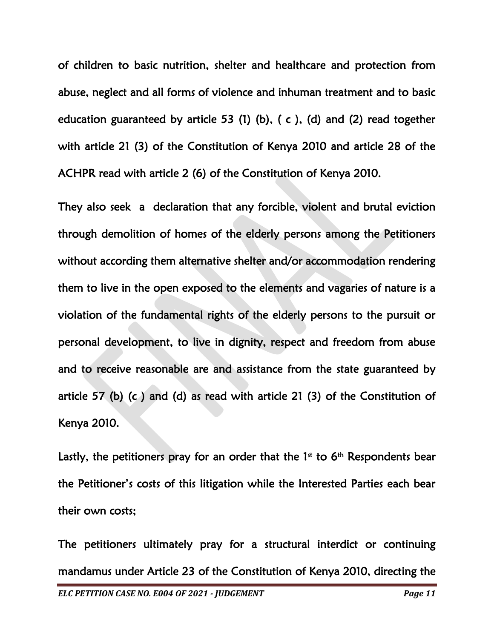of children to basic nutrition, shelter and healthcare and protection from abuse, neglect and all forms of violence and inhuman treatment and to basic education guaranteed by article 53 (1) (b), ( c ), (d) and (2) read together with article 21 (3) of the Constitution of Kenya 2010 and article 28 of the ACHPR read with article 2 (6) of the Constitution of Kenya 2010.

They also seek a declaration that any forcible, violent and brutal eviction through demolition of homes of the elderly persons among the Petitioners without according them alternative shelter and/or accommodation rendering them to live in the open exposed to the elements and vagaries of nature is a violation of the fundamental rights of the elderly persons to the pursuit or personal development, to live in dignity, respect and freedom from abuse and to receive reasonable are and assistance from the state guaranteed by article 57 (b) (c ) and (d) as read with article 21 (3) of the Constitution of Kenya 2010.

Lastly, the petitioners pray for an order that the  $1<sup>st</sup>$  to  $6<sup>th</sup>$  Respondents bear the Petitioner's costs of this litigation while the Interested Parties each bear their own costs;

The petitioners ultimately pray for a structural interdict or continuing mandamus under Article 23 of the Constitution of Kenya 2010, directing the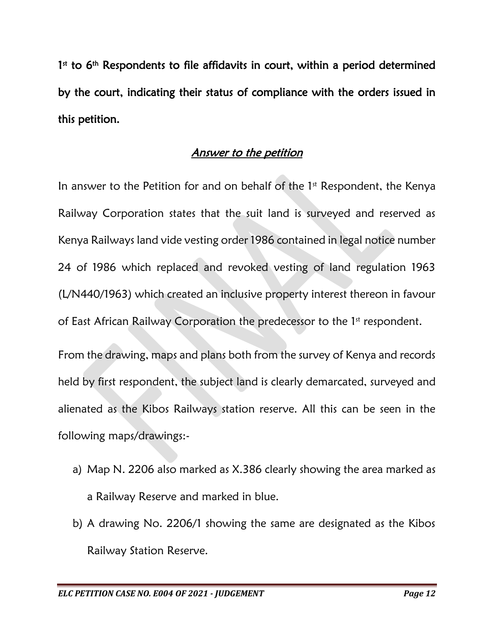1<sup>st</sup> to 6<sup>th</sup> Respondents to file affidavits in court, within a period determined by the court, indicating their status of compliance with the orders issued in this petition.

### Answer to the petition

In answer to the Petition for and on behalf of the  $1<sup>st</sup>$  Respondent, the Kenya Railway Corporation states that the suit land is surveyed and reserved as Kenya Railways land vide vesting order 1986 contained in legal notice number 24 of 1986 which replaced and revoked vesting of land regulation 1963 (L/N440/1963) which created an inclusive property interest thereon in favour of East African Railway Corporation the predecessor to the 1<sup>st</sup> respondent.

From the drawing, maps and plans both from the survey of Kenya and records held by first respondent, the subject land is clearly demarcated, surveyed and alienated as the Kibos Railways station reserve. All this can be seen in the following maps/drawings:-

- a) Map N. 2206 also marked as X.386 clearly showing the area marked as a Railway Reserve and marked in blue.
- b) A drawing No. 2206/1 showing the same are designated as the Kibos Railway Station Reserve.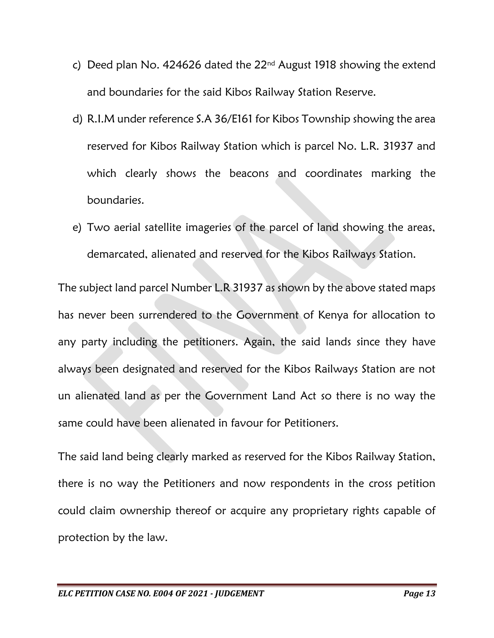- c) Deed plan No. 424626 dated the  $22<sup>nd</sup>$  August 1918 showing the extend and boundaries for the said Kibos Railway Station Reserve.
- d) R.I.M under reference S.A 36/E161 for Kibos Township showing the area reserved for Kibos Railway Station which is parcel No. L.R. 31937 and which clearly shows the beacons and coordinates marking the boundaries.
- e) Two aerial satellite imageries of the parcel of land showing the areas, demarcated, alienated and reserved for the Kibos Railways Station.

The subject land parcel Number L.R 31937 as shown by the above stated maps has never been surrendered to the Government of Kenya for allocation to any party including the petitioners. Again, the said lands since they have always been designated and reserved for the Kibos Railways Station are not un alienated land as per the Government Land Act so there is no way the same could have been alienated in favour for Petitioners.

The said land being clearly marked as reserved for the Kibos Railway Station, there is no way the Petitioners and now respondents in the cross petition could claim ownership thereof or acquire any proprietary rights capable of protection by the law.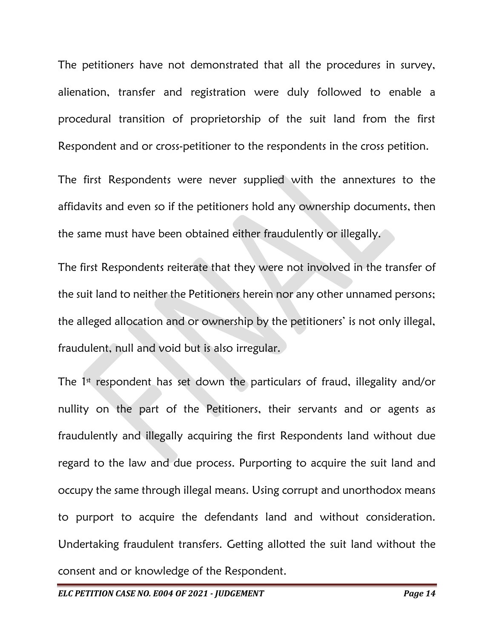The petitioners have not demonstrated that all the procedures in survey, alienation, transfer and registration were duly followed to enable a procedural transition of proprietorship of the suit land from the first Respondent and or cross-petitioner to the respondents in the cross petition.

The first Respondents were never supplied with the annextures to the affidavits and even so if the petitioners hold any ownership documents, then the same must have been obtained either fraudulently or illegally.

The first Respondents reiterate that they were not involved in the transfer of the suit land to neither the Petitioners herein nor any other unnamed persons; the alleged allocation and or ownership by the petitioners' is not only illegal, fraudulent, null and void but is also irregular.

The  $1<sup>st</sup>$  respondent has set down the particulars of fraud, illegality and/or nullity on the part of the Petitioners, their servants and or agents as fraudulently and illegally acquiring the first Respondents land without due regard to the law and due process. Purporting to acquire the suit land and occupy the same through illegal means. Using corrupt and unorthodox means to purport to acquire the defendants land and without consideration. Undertaking fraudulent transfers. Getting allotted the suit land without the consent and or knowledge of the Respondent.

*ELC PETITION CASE NO. E004 OF 2021 - JUDGEMENT Page 14*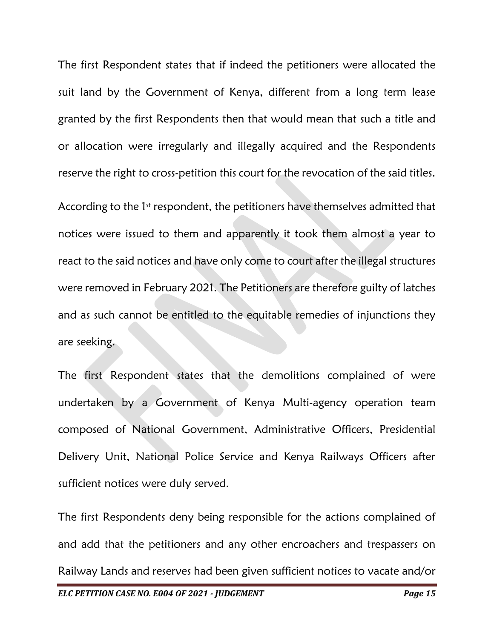The first Respondent states that if indeed the petitioners were allocated the suit land by the Government of Kenya, different from a long term lease granted by the first Respondents then that would mean that such a title and or allocation were irregularly and illegally acquired and the Respondents reserve the right to cross-petition this court for the revocation of the said titles.

According to the 1<sup>st</sup> respondent, the petitioners have themselves admitted that notices were issued to them and apparently it took them almost a year to react to the said notices and have only come to court after the illegal structures were removed in February 2021. The Petitioners are therefore guilty of latches and as such cannot be entitled to the equitable remedies of injunctions they are seeking.

The first Respondent states that the demolitions complained of were undertaken by a Government of Kenya Multi-agency operation team composed of National Government, Administrative Officers, Presidential Delivery Unit, National Police Service and Kenya Railways Officers after sufficient notices were duly served.

The first Respondents deny being responsible for the actions complained of and add that the petitioners and any other encroachers and trespassers on Railway Lands and reserves had been given sufficient notices to vacate and/or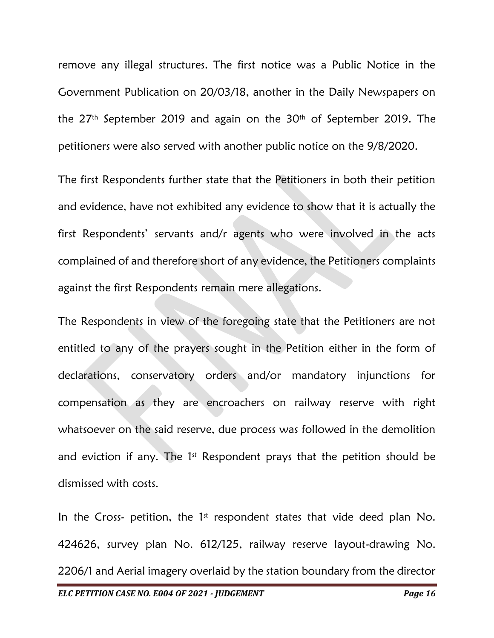remove any illegal structures. The first notice was a Public Notice in the Government Publication on 20/03/18, another in the Daily Newspapers on the 27th September 2019 and again on the 30th of September 2019. The petitioners were also served with another public notice on the 9/8/2020.

The first Respondents further state that the Petitioners in both their petition and evidence, have not exhibited any evidence to show that it is actually the first Respondents' servants and/r agents who were involved in the acts complained of and therefore short of any evidence, the Petitioners complaints against the first Respondents remain mere allegations.

The Respondents in view of the foregoing state that the Petitioners are not entitled to any of the prayers sought in the Petition either in the form of declarations, conservatory orders and/or mandatory injunctions for compensation as they are encroachers on railway reserve with right whatsoever on the said reserve, due process was followed in the demolition and eviction if any. The  $1<sup>st</sup>$  Respondent prays that the petition should be dismissed with costs.

In the Cross- petition, the  $1<sup>st</sup>$  respondent states that vide deed plan No. 424626, survey plan No. 612/125, railway reserve layout-drawing No. 2206/1 and Aerial imagery overlaid by the station boundary from the director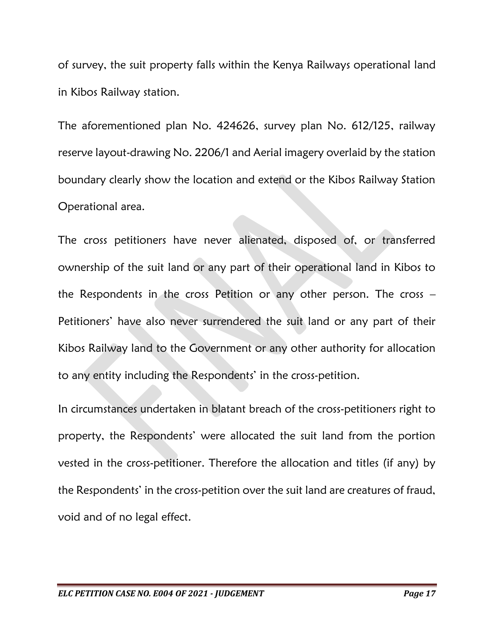of survey, the suit property falls within the Kenya Railways operational land in Kibos Railway station.

The aforementioned plan No. 424626, survey plan No. 612/125, railway reserve layout-drawing No. 2206/1 and Aerial imagery overlaid by the station boundary clearly show the location and extend or the Kibos Railway Station Operational area.

The cross petitioners have never alienated, disposed of, or transferred ownership of the suit land or any part of their operational land in Kibos to the Respondents in the cross Petition or any other person. The cross – Petitioners' have also never surrendered the suit land or any part of their Kibos Railway land to the Government or any other authority for allocation to any entity including the Respondents' in the cross-petition.

In circumstances undertaken in blatant breach of the cross-petitioners right to property, the Respondents' were allocated the suit land from the portion vested in the cross-petitioner. Therefore the allocation and titles (if any) by the Respondents' in the cross-petition over the suit land are creatures of fraud, void and of no legal effect.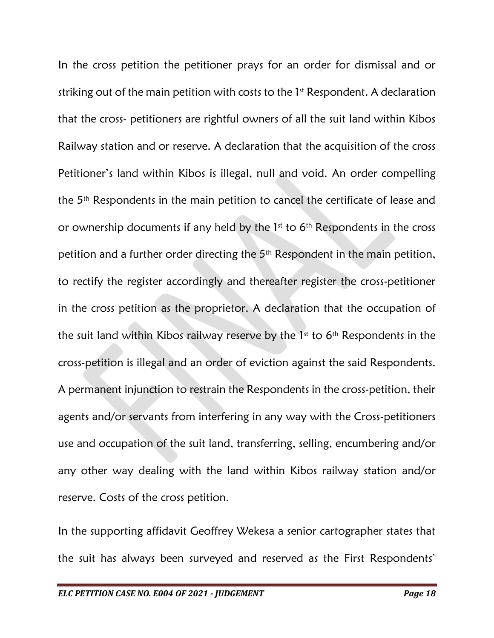In the cross petition the petitioner prays for an order for dismissal and or striking out of the main petition with costs to the 1<sup>st</sup> Respondent. A declaration that the cross- petitioners are rightful owners of all the suit land within Kibos Railway station and or reserve. A declaration that the acquisition of the cross Petitioner's land within Kibos is illegal, null and void. An order compelling the 5th Respondents in the main petition to cancel the certificate of lease and or ownership documents if any held by the  $1<sup>st</sup>$  to  $6<sup>th</sup>$  Respondents in the cross petition and a further order directing the 5th Respondent in the main petition, to rectify the register accordingly and thereafter register the cross-petitioner in the cross petition as the proprietor. A declaration that the occupation of the suit land within Kibos railway reserve by the  $1<sup>st</sup>$  to  $6<sup>th</sup>$  Respondents in the cross-petition is illegal and an order of eviction against the said Respondents. A permanent injunction to restrain the Respondents in the cross-petition, their agents and/or servants from interfering in any way with the Cross-petitioners use and occupation of the suit land, transferring, selling, encumbering and/or any other way dealing with the land within Kibos railway station and/or reserve. Costs of the cross petition.

In the supporting affidavit Geoffrey Wekesa a senior cartographer states that the suit has always been surveyed and reserved as the First Respondents'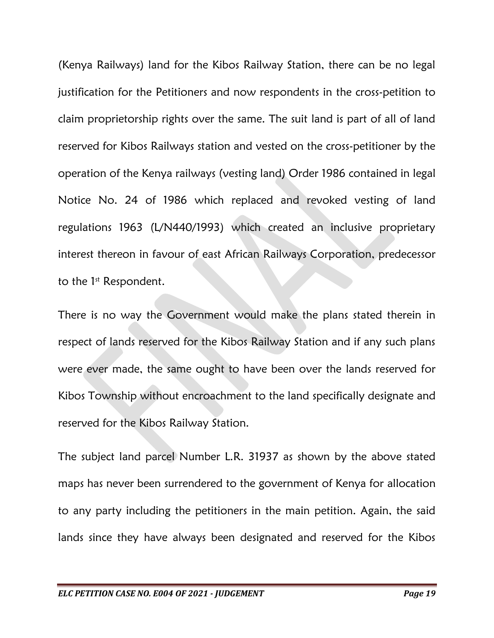(Kenya Railways) land for the Kibos Railway Station, there can be no legal justification for the Petitioners and now respondents in the cross-petition to claim proprietorship rights over the same. The suit land is part of all of land reserved for Kibos Railways station and vested on the cross-petitioner by the operation of the Kenya railways (vesting land) Order 1986 contained in legal Notice No. 24 of 1986 which replaced and revoked vesting of land regulations 1963 (L/N440/1993) which created an inclusive proprietary interest thereon in favour of east African Railways Corporation, predecessor to the  $1<sup>st</sup>$  Respondent.

There is no way the Government would make the plans stated therein in respect of lands reserved for the Kibos Railway Station and if any such plans were ever made, the same ought to have been over the lands reserved for Kibos Township without encroachment to the land specifically designate and reserved for the Kibos Railway Station.

The subject land parcel Number L.R. 31937 as shown by the above stated maps has never been surrendered to the government of Kenya for allocation to any party including the petitioners in the main petition. Again, the said lands since they have always been designated and reserved for the Kibos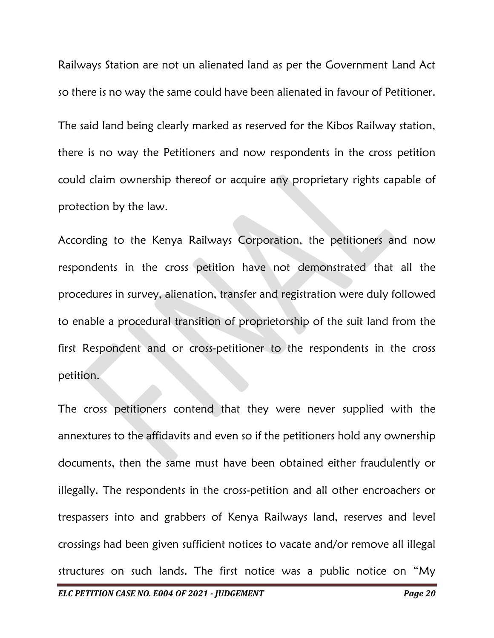Railways Station are not un alienated land as per the Government Land Act so there is no way the same could have been alienated in favour of Petitioner.

The said land being clearly marked as reserved for the Kibos Railway station, there is no way the Petitioners and now respondents in the cross petition could claim ownership thereof or acquire any proprietary rights capable of protection by the law.

According to the Kenya Railways Corporation, the petitioners and now respondents in the cross petition have not demonstrated that all the procedures in survey, alienation, transfer and registration were duly followed to enable a procedural transition of proprietorship of the suit land from the first Respondent and or cross-petitioner to the respondents in the cross petition.

The cross petitioners contend that they were never supplied with the annextures to the affidavits and even so if the petitioners hold any ownership documents, then the same must have been obtained either fraudulently or illegally. The respondents in the cross-petition and all other encroachers or trespassers into and grabbers of Kenya Railways land, reserves and level crossings had been given sufficient notices to vacate and/or remove all illegal structures on such lands. The first notice was a public notice on "My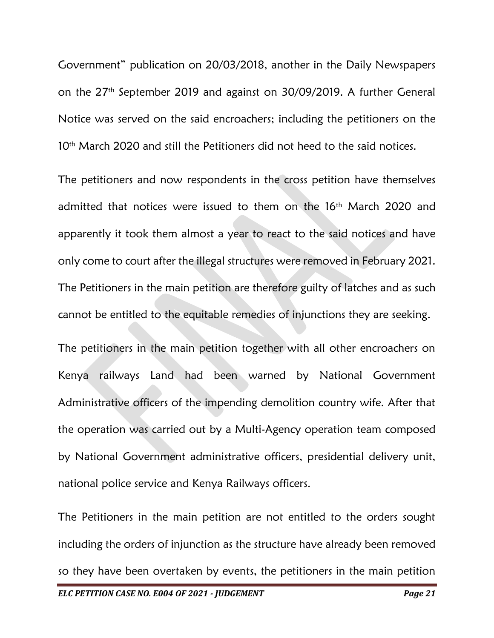Government" publication on 20/03/2018, another in the Daily Newspapers on the 27th September 2019 and against on 30/09/2019. A further General Notice was served on the said encroachers; including the petitioners on the 10<sup>th</sup> March 2020 and still the Petitioners did not heed to the said notices.

The petitioners and now respondents in the cross petition have themselves admitted that notices were issued to them on the 16<sup>th</sup> March 2020 and apparently it took them almost a year to react to the said notices and have only come to court after the illegal structures were removed in February 2021. The Petitioners in the main petition are therefore guilty of latches and as such cannot be entitled to the equitable remedies of injunctions they are seeking.

The petitioners in the main petition together with all other encroachers on Kenya railways Land had been warned by National Government Administrative officers of the impending demolition country wife. After that the operation was carried out by a Multi-Agency operation team composed by National Government administrative officers, presidential delivery unit, national police service and Kenya Railways officers.

The Petitioners in the main petition are not entitled to the orders sought including the orders of injunction as the structure have already been removed so they have been overtaken by events, the petitioners in the main petition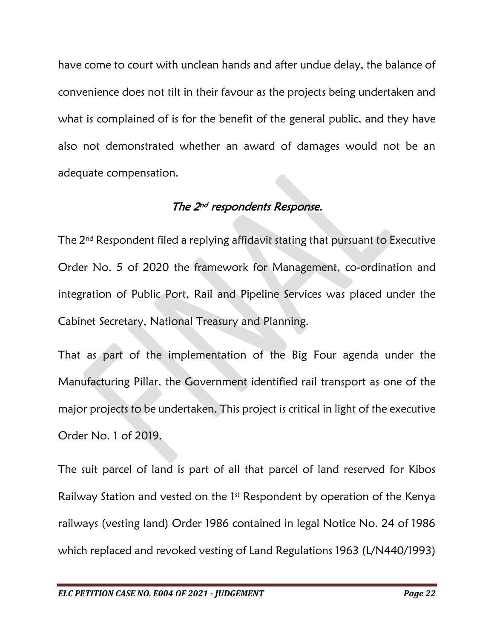have come to court with unclean hands and after undue delay, the balance of convenience does not tilt in their favour as the projects being undertaken and what is complained of is for the benefit of the general public, and they have also not demonstrated whether an award of damages would not be an adequate compensation.

## <u>The 2<sup>nd</sup> respondents Response.</u>

The  $2<sup>nd</sup>$  Respondent filed a replying affidavit stating that pursuant to Executive Order No. 5 of 2020 the framework for Management, co-ordination and integration of Public Port, Rail and Pipeline Services was placed under the Cabinet Secretary, National Treasury and Planning.

That as part of the implementation of the Big Four agenda under the Manufacturing Pillar, the Government identified rail transport as one of the major projects to be undertaken. This project is critical in light of the executive Order No. 1 of 2019.

The suit parcel of land is part of all that parcel of land reserved for Kibos Railway Station and vested on the 1<sup>st</sup> Respondent by operation of the Kenya railways (vesting land) Order 1986 contained in legal Notice No. 24 of 1986 which replaced and revoked vesting of Land Regulations 1963 (L/N440/1993)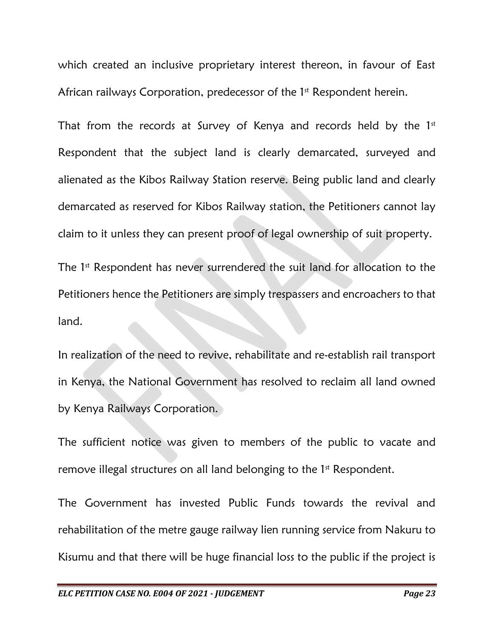which created an inclusive proprietary interest thereon, in favour of East African railways Corporation, predecessor of the 1<sup>st</sup> Respondent herein.

That from the records at Survey of Kenya and records held by the  $1<sup>st</sup>$ Respondent that the subject land is clearly demarcated, surveyed and alienated as the Kibos Railway Station reserve. Being public land and clearly demarcated as reserved for Kibos Railway station, the Petitioners cannot lay claim to it unless they can present proof of legal ownership of suit property.

The 1<sup>st</sup> Respondent has never surrendered the suit land for allocation to the Petitioners hence the Petitioners are simply trespassers and encroachers to that land.

In realization of the need to revive, rehabilitate and re-establish rail transport in Kenya, the National Government has resolved to reclaim all land owned by Kenya Railways Corporation.

The sufficient notice was given to members of the public to vacate and remove illegal structures on all land belonging to the 1<sup>st</sup> Respondent.

The Government has invested Public Funds towards the revival and rehabilitation of the metre gauge railway lien running service from Nakuru to Kisumu and that there will be huge financial loss to the public if the project is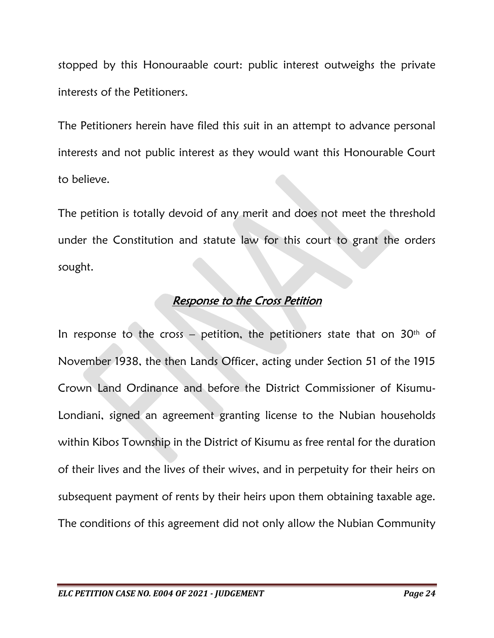stopped by this Honouraable court: public interest outweighs the private interests of the Petitioners.

The Petitioners herein have filed this suit in an attempt to advance personal interests and not public interest as they would want this Honourable Court to believe.

The petition is totally devoid of any merit and does not meet the threshold under the Constitution and statute law for this court to grant the orders sought.

### Response to the Cross Petition

In response to the cross  $-$  petition, the petitioners state that on 30<sup>th</sup> of November 1938, the then Lands Officer, acting under Section 51 of the 1915 Crown Land Ordinance and before the District Commissioner of Kisumu-Londiani, signed an agreement granting license to the Nubian households within Kibos Township in the District of Kisumu as free rental for the duration of their lives and the lives of their wives, and in perpetuity for their heirs on subsequent payment of rents by their heirs upon them obtaining taxable age. The conditions of this agreement did not only allow the Nubian Community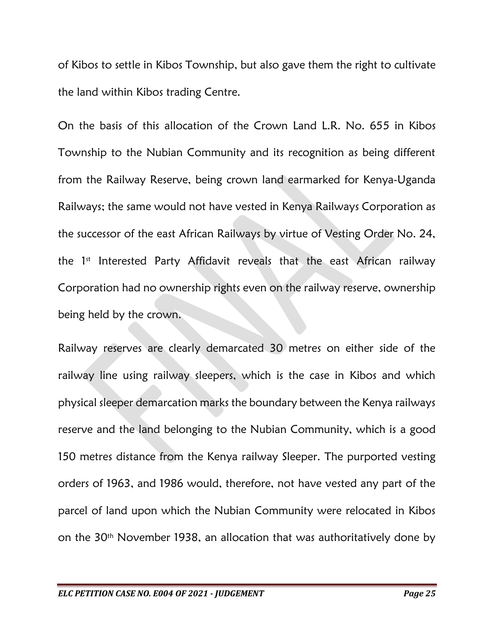of Kibos to settle in Kibos Township, but also gave them the right to cultivate the land within Kibos trading Centre.

On the basis of this allocation of the Crown Land L.R. No. 655 in Kibos Township to the Nubian Community and its recognition as being different from the Railway Reserve, being crown land earmarked for Kenya-Uganda Railways; the same would not have vested in Kenya Railways Corporation as the successor of the east African Railways by virtue of Vesting Order No. 24, the 1<sup>st</sup> Interested Party Affidavit reveals that the east African railway Corporation had no ownership rights even on the railway reserve, ownership being held by the crown.

Railway reserves are clearly demarcated 30 metres on either side of the railway line using railway sleepers, which is the case in Kibos and which physical sleeper demarcation marks the boundary between the Kenya railways reserve and the land belonging to the Nubian Community, which is a good 150 metres distance from the Kenya railway Sleeper. The purported vesting orders of 1963, and 1986 would, therefore, not have vested any part of the parcel of land upon which the Nubian Community were relocated in Kibos on the 30th November 1938, an allocation that was authoritatively done by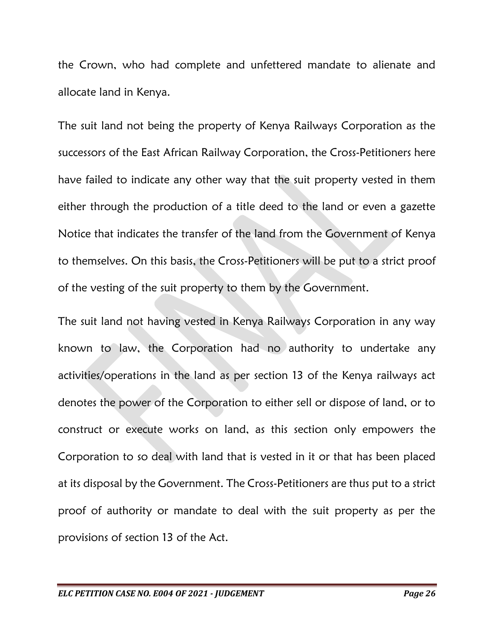the Crown, who had complete and unfettered mandate to alienate and allocate land in Kenya.

The suit land not being the property of Kenya Railways Corporation as the successors of the East African Railway Corporation, the Cross-Petitioners here have failed to indicate any other way that the suit property vested in them either through the production of a title deed to the land or even a gazette Notice that indicates the transfer of the land from the Government of Kenya to themselves. On this basis, the Cross-Petitioners will be put to a strict proof of the vesting of the suit property to them by the Government.

The suit land not having vested in Kenya Railways Corporation in any way known to law, the Corporation had no authority to undertake any activities/operations in the land as per section 13 of the Kenya railways act denotes the power of the Corporation to either sell or dispose of land, or to construct or execute works on land, as this section only empowers the Corporation to so deal with land that is vested in it or that has been placed at its disposal by the Government. The Cross-Petitioners are thus put to a strict proof of authority or mandate to deal with the suit property as per the provisions of section 13 of the Act.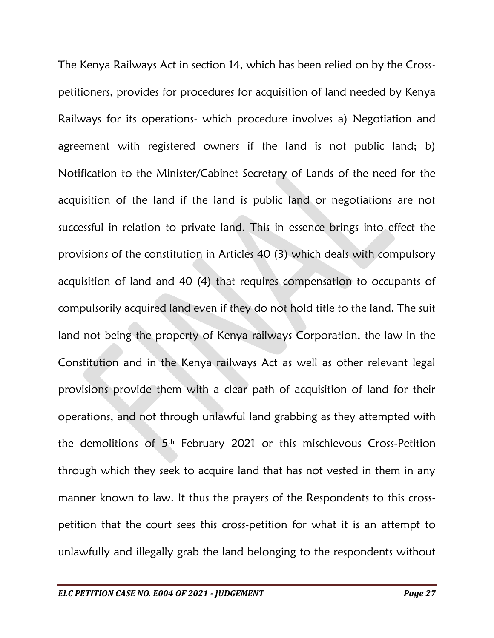The Kenya Railways Act in section 14, which has been relied on by the Crosspetitioners, provides for procedures for acquisition of land needed by Kenya Railways for its operations- which procedure involves a) Negotiation and agreement with registered owners if the land is not public land; b) Notification to the Minister/Cabinet Secretary of Lands of the need for the acquisition of the land if the land is public land or negotiations are not successful in relation to private land. This in essence brings into effect the provisions of the constitution in Articles 40 (3) which deals with compulsory acquisition of land and 40 (4) that requires compensation to occupants of compulsorily acquired land even if they do not hold title to the land. The suit land not being the property of Kenya railways Corporation, the law in the Constitution and in the Kenya railways Act as well as other relevant legal provisions provide them with a clear path of acquisition of land for their operations, and not through unlawful land grabbing as they attempted with the demolitions of 5th February 2021 or this mischievous Cross-Petition through which they seek to acquire land that has not vested in them in any manner known to law. It thus the prayers of the Respondents to this crosspetition that the court sees this cross-petition for what it is an attempt to unlawfully and illegally grab the land belonging to the respondents without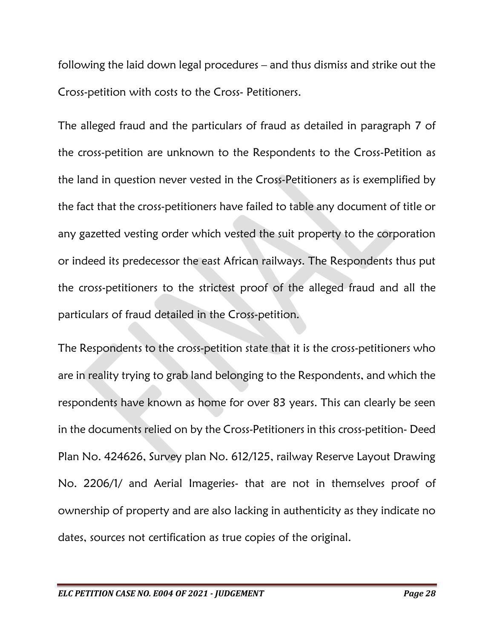following the laid down legal procedures – and thus dismiss and strike out the Cross-petition with costs to the Cross- Petitioners.

The alleged fraud and the particulars of fraud as detailed in paragraph 7 of the cross-petition are unknown to the Respondents to the Cross-Petition as the land in question never vested in the Cross-Petitioners as is exemplified by the fact that the cross-petitioners have failed to table any document of title or any gazetted vesting order which vested the suit property to the corporation or indeed its predecessor the east African railways. The Respondents thus put the cross-petitioners to the strictest proof of the alleged fraud and all the particulars of fraud detailed in the Cross-petition.

The Respondents to the cross-petition state that it is the cross-petitioners who are in reality trying to grab land belonging to the Respondents, and which the respondents have known as home for over 83 years. This can clearly be seen in the documents relied on by the Cross-Petitioners in this cross-petition- Deed Plan No. 424626, Survey plan No. 612/125, railway Reserve Layout Drawing No. 2206/1/ and Aerial Imageries- that are not in themselves proof of ownership of property and are also lacking in authenticity as they indicate no dates, sources not certification as true copies of the original.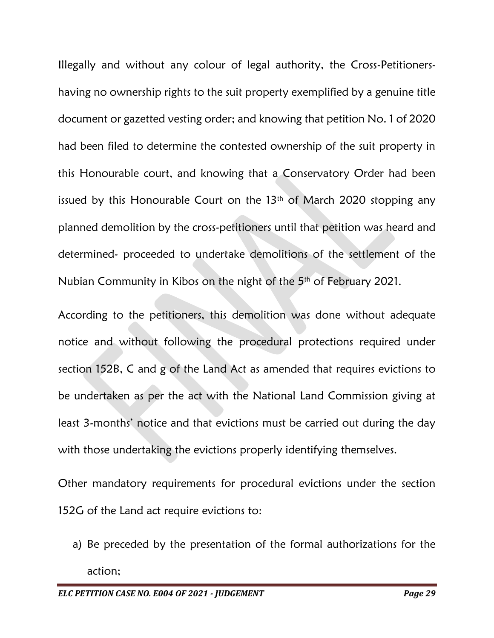Illegally and without any colour of legal authority, the Cross-Petitionershaving no ownership rights to the suit property exemplified by a genuine title document or gazetted vesting order; and knowing that petition No. 1 of 2020 had been filed to determine the contested ownership of the suit property in this Honourable court, and knowing that a Conservatory Order had been issued by this Honourable Court on the 13<sup>th</sup> of March 2020 stopping any planned demolition by the cross-petitioners until that petition was heard and determined- proceeded to undertake demolitions of the settlement of the Nubian Community in Kibos on the night of the 5th of February 2021.

According to the petitioners, this demolition was done without adequate notice and without following the procedural protections required under section 152B, C and g of the Land Act as amended that requires evictions to be undertaken as per the act with the National Land Commission giving at least 3-months' notice and that evictions must be carried out during the day with those undertaking the evictions properly identifying themselves.

Other mandatory requirements for procedural evictions under the section 152G of the Land act require evictions to:

a) Be preceded by the presentation of the formal authorizations for the action;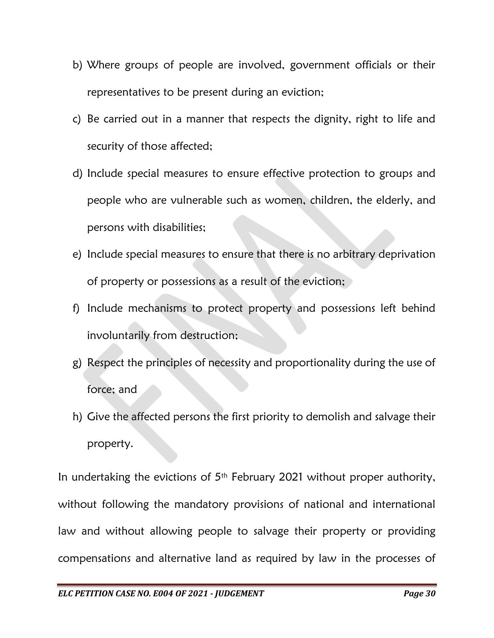- b) Where groups of people are involved, government officials or their representatives to be present during an eviction;
- c) Be carried out in a manner that respects the dignity, right to life and security of those affected;
- d) Include special measures to ensure effective protection to groups and people who are vulnerable such as women, children, the elderly, and persons with disabilities;
- e) Include special measures to ensure that there is no arbitrary deprivation of property or possessions as a result of the eviction;
- f) Include mechanisms to protect property and possessions left behind involuntarily from destruction;
- g) Respect the principles of necessity and proportionality during the use of force; and
- h) Give the affected persons the first priority to demolish and salvage their property.

In undertaking the evictions of  $5<sup>th</sup>$  February 2021 without proper authority, without following the mandatory provisions of national and international law and without allowing people to salvage their property or providing compensations and alternative land as required by law in the processes of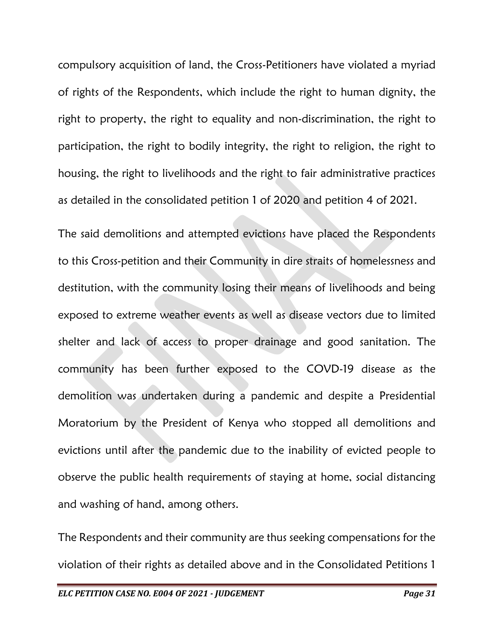compulsory acquisition of land, the Cross-Petitioners have violated a myriad of rights of the Respondents, which include the right to human dignity, the right to property, the right to equality and non-discrimination, the right to participation, the right to bodily integrity, the right to religion, the right to housing, the right to livelihoods and the right to fair administrative practices as detailed in the consolidated petition 1 of 2020 and petition 4 of 2021.

The said demolitions and attempted evictions have placed the Respondents to this Cross-petition and their Community in dire straits of homelessness and destitution, with the community losing their means of livelihoods and being exposed to extreme weather events as well as disease vectors due to limited shelter and lack of access to proper drainage and good sanitation. The community has been further exposed to the COVD-19 disease as the demolition was undertaken during a pandemic and despite a Presidential Moratorium by the President of Kenya who stopped all demolitions and evictions until after the pandemic due to the inability of evicted people to observe the public health requirements of staying at home, social distancing and washing of hand, among others.

The Respondents and their community are thus seeking compensations for the violation of their rights as detailed above and in the Consolidated Petitions 1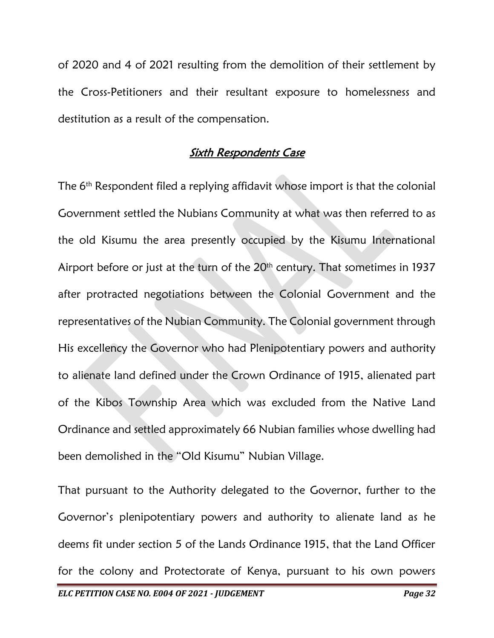of 2020 and 4 of 2021 resulting from the demolition of their settlement by the Cross-Petitioners and their resultant exposure to homelessness and destitution as a result of the compensation.

#### Sixth Respondents Case

The 6<sup>th</sup> Respondent filed a replying affidavit whose import is that the colonial Government settled the Nubians Community at what was then referred to as the old Kisumu the area presently occupied by the Kisumu International Airport before or just at the turn of the 20<sup>th</sup> century. That sometimes in 1937 after protracted negotiations between the Colonial Government and the representatives of the Nubian Community. The Colonial government through His excellency the Governor who had Plenipotentiary powers and authority to alienate land defined under the Crown Ordinance of 1915, alienated part of the Kibos Township Area which was excluded from the Native Land Ordinance and settled approximately 66 Nubian families whose dwelling had been demolished in the "Old Kisumu" Nubian Village.

That pursuant to the Authority delegated to the Governor, further to the Governor's plenipotentiary powers and authority to alienate land as he deems fit under section 5 of the Lands Ordinance 1915, that the Land Officer for the colony and Protectorate of Kenya, pursuant to his own powers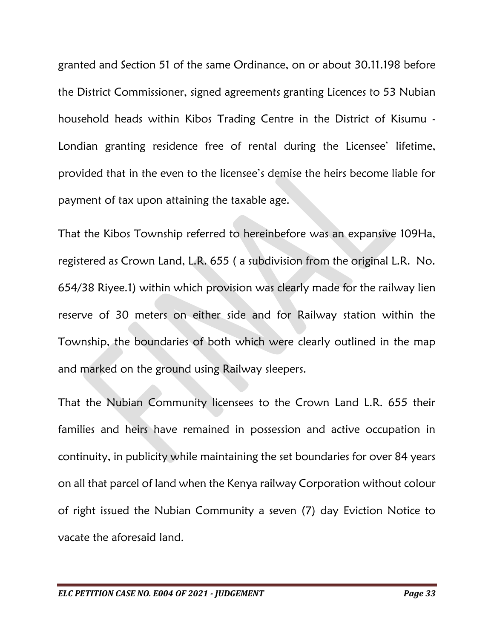granted and Section 51 of the same Ordinance, on or about 30.11.198 before the District Commissioner, signed agreements granting Licences to 53 Nubian household heads within Kibos Trading Centre in the District of Kisumu - Londian granting residence free of rental during the Licensee' lifetime, provided that in the even to the licensee's demise the heirs become liable for payment of tax upon attaining the taxable age.

That the Kibos Township referred to hereinbefore was an expansive 109Ha, registered as Crown Land, L.R. 655 ( a subdivision from the original L.R. No. 654/38 Riyee.1) within which provision was clearly made for the railway lien reserve of 30 meters on either side and for Railway station within the Township, the boundaries of both which were clearly outlined in the map and marked on the ground using Railway sleepers.

That the Nubian Community licensees to the Crown Land L.R. 655 their families and heirs have remained in possession and active occupation in continuity, in publicity while maintaining the set boundaries for over 84 years on all that parcel of land when the Kenya railway Corporation without colour of right issued the Nubian Community a seven (7) day Eviction Notice to vacate the aforesaid land.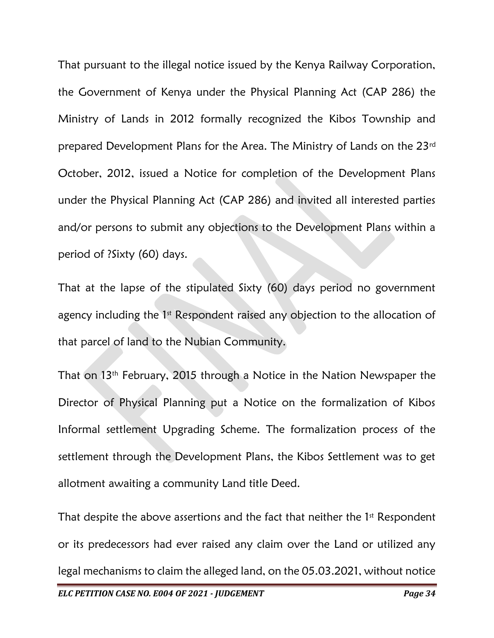That pursuant to the illegal notice issued by the Kenya Railway Corporation, the Government of Kenya under the Physical Planning Act (CAP 286) the Ministry of Lands in 2012 formally recognized the Kibos Township and prepared Development Plans for the Area. The Ministry of Lands on the 23rd October, 2012, issued a Notice for completion of the Development Plans under the Physical Planning Act (CAP 286) and invited all interested parties and/or persons to submit any objections to the Development Plans within a period of ?Sixty (60) days.

That at the lapse of the stipulated Sixty (60) days period no government agency including the  $1<sup>st</sup>$  Respondent raised any objection to the allocation of that parcel of land to the Nubian Community.

That on 13th February, 2015 through a Notice in the Nation Newspaper the Director of Physical Planning put a Notice on the formalization of Kibos Informal settlement Upgrading Scheme. The formalization process of the settlement through the Development Plans, the Kibos Settlement was to get allotment awaiting a community Land title Deed.

That despite the above assertions and the fact that neither the 1<sup>st</sup> Respondent or its predecessors had ever raised any claim over the Land or utilized any legal mechanisms to claim the alleged land, on the 05.03.2021, without notice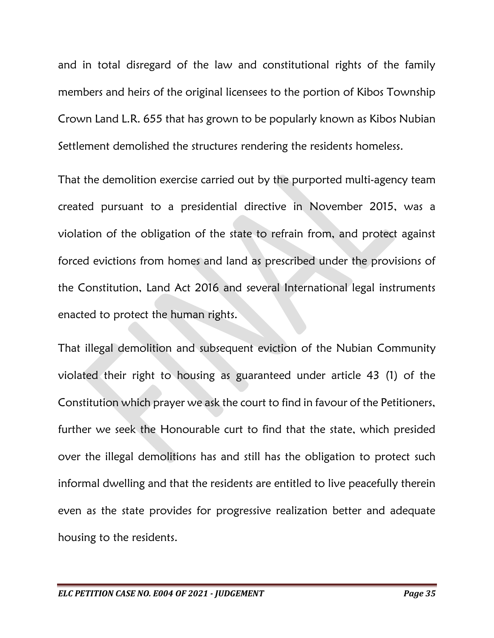and in total disregard of the law and constitutional rights of the family members and heirs of the original licensees to the portion of Kibos Township Crown Land L.R. 655 that has grown to be popularly known as Kibos Nubian Settlement demolished the structures rendering the residents homeless.

That the demolition exercise carried out by the purported multi-agency team created pursuant to a presidential directive in November 2015, was a violation of the obligation of the state to refrain from, and protect against forced evictions from homes and land as prescribed under the provisions of the Constitution, Land Act 2016 and several International legal instruments enacted to protect the human rights.

That illegal demolition and subsequent eviction of the Nubian Community violated their right to housing as guaranteed under article 43 (1) of the Constitution which prayer we ask the court to find in favour of the Petitioners, further we seek the Honourable curt to find that the state, which presided over the illegal demolitions has and still has the obligation to protect such informal dwelling and that the residents are entitled to live peacefully therein even as the state provides for progressive realization better and adequate housing to the residents.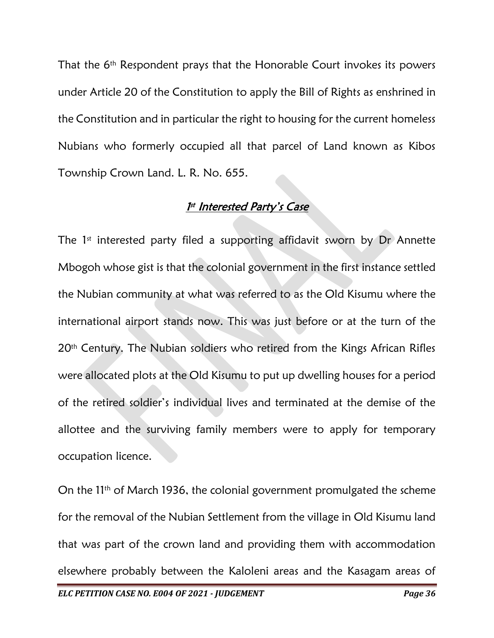That the 6<sup>th</sup> Respondent prays that the Honorable Court invokes its powers under Article 20 of the Constitution to apply the Bill of Rights as enshrined in the Constitution and in particular the right to housing for the current homeless Nubians who formerly occupied all that parcel of Land known as Kibos Township Crown Land. L. R. No. 655.

#### <u>1st Interested Party's Case</u>

The  $1<sup>st</sup>$  interested party filed a supporting affidavit sworn by Dr Annette Mbogoh whose gist is that the colonial government in the first instance settled the Nubian community at what was referred to as the Old Kisumu where the international airport stands now. This was just before or at the turn of the 20<sup>th</sup> Century. The Nubian soldiers who retired from the Kings African Rifles were allocated plots at the Old Kisumu to put up dwelling houses for a period of the retired soldier's individual lives and terminated at the demise of the allottee and the surviving family members were to apply for temporary occupation licence.

On the 11th of March 1936, the colonial government promulgated the scheme for the removal of the Nubian Settlement from the village in Old Kisumu land that was part of the crown land and providing them with accommodation elsewhere probably between the Kaloleni areas and the Kasagam areas of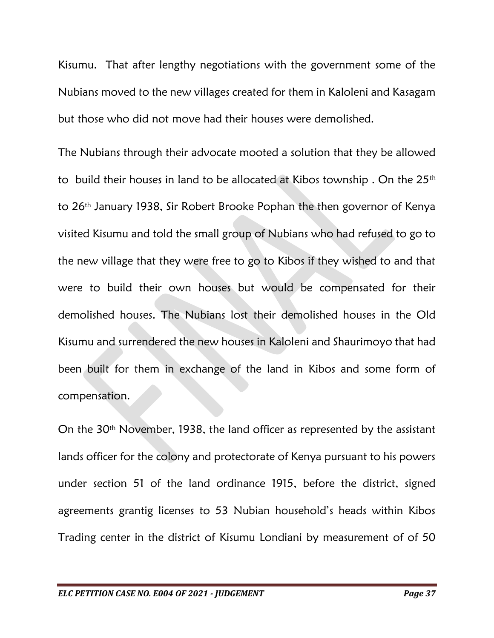Kisumu. That after lengthy negotiations with the government some of the Nubians moved to the new villages created for them in Kaloleni and Kasagam but those who did not move had their houses were demolished.

The Nubians through their advocate mooted a solution that they be allowed to build their houses in land to be allocated at Kibos township. On the 25<sup>th</sup> to 26th January 1938, Sir Robert Brooke Pophan the then governor of Kenya visited Kisumu and told the small group of Nubians who had refused to go to the new village that they were free to go to Kibos if they wished to and that were to build their own houses but would be compensated for their demolished houses. The Nubians lost their demolished houses in the Old Kisumu and surrendered the new houses in Kaloleni and Shaurimoyo that had been built for them in exchange of the land in Kibos and some form of compensation.

On the 30th November, 1938, the land officer as represented by the assistant lands officer for the colony and protectorate of Kenya pursuant to his powers under section 51 of the land ordinance 1915, before the district, signed agreements grantig licenses to 53 Nubian household's heads within Kibos Trading center in the district of Kisumu Londiani by measurement of of 50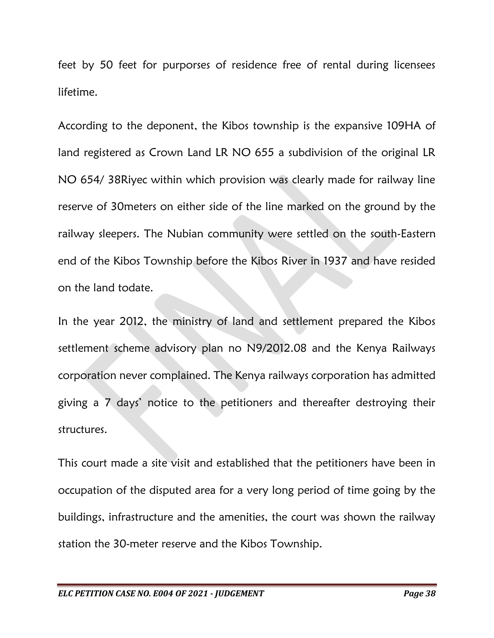feet by 50 feet for purporses of residence free of rental during licensees lifetime.

According to the deponent, the Kibos township is the expansive 109HA of land registered as Crown Land LR NO 655 a subdivision of the original LR NO 654/ 38Riyec within which provision was clearly made for railway line reserve of 30meters on either side of the line marked on the ground by the railway sleepers. The Nubian community were settled on the south-Eastern end of the Kibos Township before the Kibos River in 1937 and have resided on the land todate.

In the year 2012, the ministry of land and settlement prepared the Kibos settlement scheme advisory plan no N9/2012.08 and the Kenya Railways corporation never complained. The Kenya railways corporation has admitted giving a 7 days' notice to the petitioners and thereafter destroying their structures.

This court made a site visit and established that the petitioners have been in occupation of the disputed area for a very long period of time going by the buildings, infrastructure and the amenities, the court was shown the railway station the 30-meter reserve and the Kibos Township.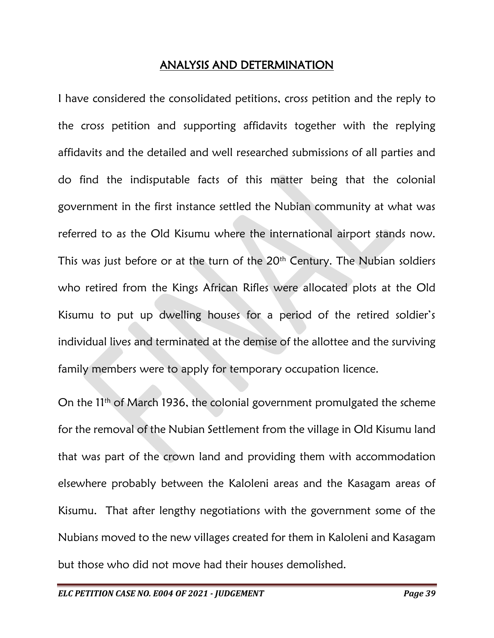## ANALYSIS AND DETERMINATION

I have considered the consolidated petitions, cross petition and the reply to the cross petition and supporting affidavits together with the replying affidavits and the detailed and well researched submissions of all parties and do find the indisputable facts of this matter being that the colonial government in the first instance settled the Nubian community at what was referred to as the Old Kisumu where the international airport stands now. This was just before or at the turn of the  $20<sup>th</sup>$  Century. The Nubian soldiers who retired from the Kings African Rifles were allocated plots at the Old Kisumu to put up dwelling houses for a period of the retired soldier's individual lives and terminated at the demise of the allottee and the surviving family members were to apply for temporary occupation licence.

On the 11<sup>th</sup> of March 1936, the colonial government promulgated the scheme for the removal of the Nubian Settlement from the village in Old Kisumu land that was part of the crown land and providing them with accommodation elsewhere probably between the Kaloleni areas and the Kasagam areas of Kisumu. That after lengthy negotiations with the government some of the Nubians moved to the new villages created for them in Kaloleni and Kasagam but those who did not move had their houses demolished.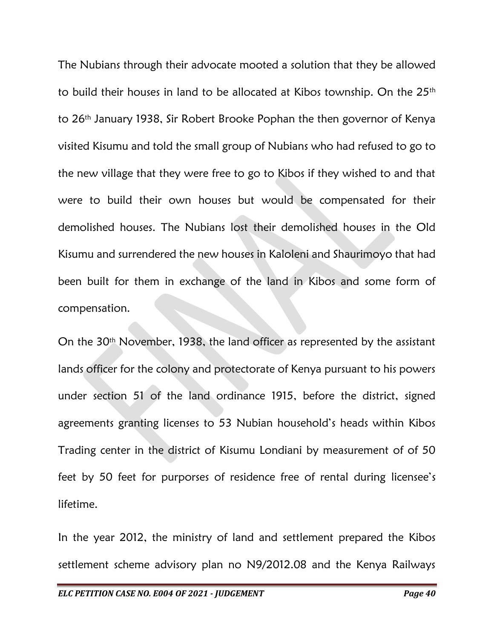The Nubians through their advocate mooted a solution that they be allowed to build their houses in land to be allocated at Kibos township. On the 25<sup>th</sup> to 26th January 1938, Sir Robert Brooke Pophan the then governor of Kenya visited Kisumu and told the small group of Nubians who had refused to go to the new village that they were free to go to Kibos if they wished to and that were to build their own houses but would be compensated for their demolished houses. The Nubians lost their demolished houses in the Old Kisumu and surrendered the new houses in Kaloleni and Shaurimoyo that had been built for them in exchange of the land in Kibos and some form of compensation.

On the 30<sup>th</sup> November, 1938, the land officer as represented by the assistant lands officer for the colony and protectorate of Kenya pursuant to his powers under section 51 of the land ordinance 1915, before the district, signed agreements granting licenses to 53 Nubian household's heads within Kibos Trading center in the district of Kisumu Londiani by measurement of of 50 feet by 50 feet for purporses of residence free of rental during licensee's lifetime.

In the year 2012, the ministry of land and settlement prepared the Kibos settlement scheme advisory plan no N9/2012.08 and the Kenya Railways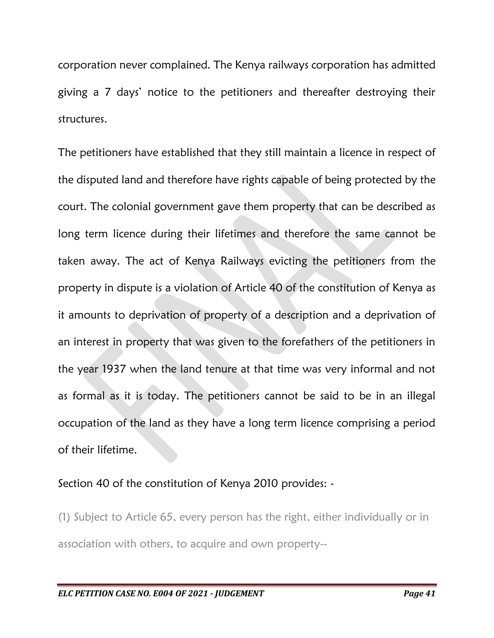corporation never complained. The Kenya railways corporation has admitted giving a 7 days' notice to the petitioners and thereafter destroying their structures.

The petitioners have established that they still maintain a licence in respect of the disputed land and therefore have rights capable of being protected by the court. The colonial government gave them property that can be described as long term licence during their lifetimes and therefore the same cannot be taken away. The act of Kenya Railways evicting the petitioners from the property in dispute is a violation of Article 40 of the constitution of Kenya as it amounts to deprivation of property of a description and a deprivation of an interest in property that was given to the forefathers of the petitioners in the year 1937 when the land tenure at that time was very informal and not as formal as it is today. The petitioners cannot be said to be in an illegal occupation of the land as they have a long term licence comprising a period of their lifetime.

Section 40 of the constitution of Kenya 2010 provides: -

(1) Subject to Article 65, every person has the right, either individually or in association with others, to acquire and own property--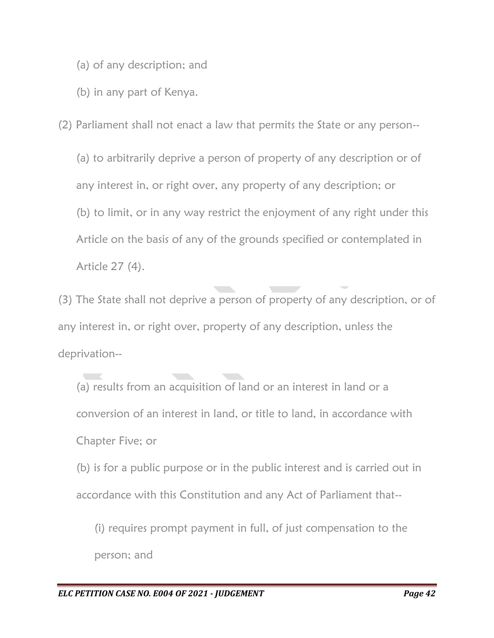- (a) of any description; and
- (b) in any part of Kenya.

(2) Parliament shall not enact a law that permits the State or any person--

(a) to arbitrarily deprive a person of property of any description or of any interest in, or right over, any property of any description; or (b) to limit, or in any way restrict the enjoyment of any right under this Article on the basis of any of the grounds specified or contemplated in Article 27 (4).

(3) The State shall not deprive a person of property of any description, or of any interest in, or right over, property of any description, unless the deprivation--

(a) results from an acquisition of land or an interest in land or a conversion of an interest in land, or title to land, in accordance with Chapter Five; or

(b) is for a public purpose or in the public interest and is carried out in accordance with this Constitution and any Act of Parliament that--

(i) requires prompt payment in full, of just compensation to the person; and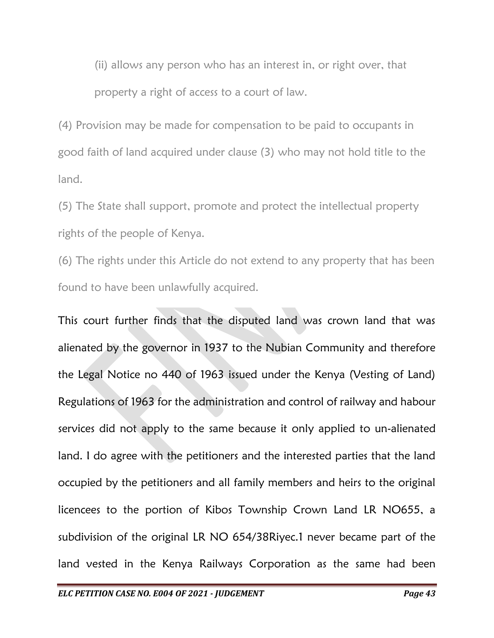(ii) allows any person who has an interest in, or right over, that property a right of access to a court of law.

(4) Provision may be made for compensation to be paid to occupants in good faith of land acquired under clause (3) who may not hold title to the land.

(5) The State shall support, promote and protect the intellectual property rights of the people of Kenya.

(6) The rights under this Article do not extend to any property that has been found to have been unlawfully acquired.

This court further finds that the disputed land was crown land that was alienated by the governor in 1937 to the Nubian Community and therefore the Legal Notice no 440 of 1963 issued under the Kenya (Vesting of Land) Regulations of 1963 for the administration and control of railway and habour services did not apply to the same because it only applied to un-alienated land. I do agree with the petitioners and the interested parties that the land occupied by the petitioners and all family members and heirs to the original licencees to the portion of Kibos Township Crown Land LR NO655, a subdivision of the original LR NO 654/38Riyec.1 never became part of the land vested in the Kenya Railways Corporation as the same had been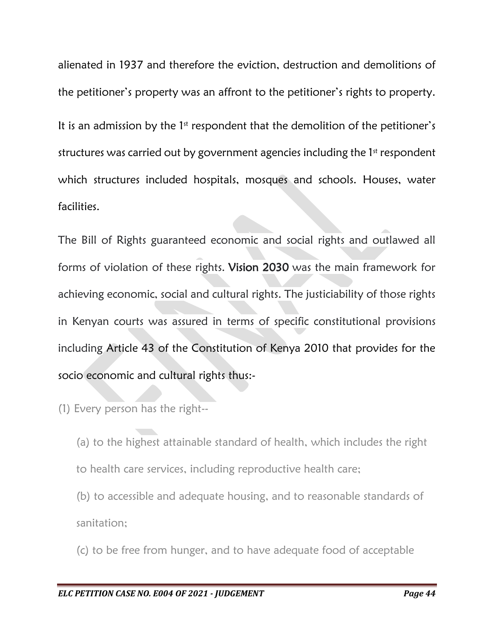alienated in 1937 and therefore the eviction, destruction and demolitions of the petitioner's property was an affront to the petitioner's rights to property. It is an admission by the 1<sup>st</sup> respondent that the demolition of the petitioner's structures was carried out by government agencies including the 1<sup>st</sup> respondent which structures included hospitals, mosques and schools. Houses, water facilities.

The Bill of Rights guaranteed economic and social rights and outlawed all forms of violation of these rights. Vision 2030 was the main framework for achieving economic, social and cultural rights. The justiciability of those rights in Kenyan courts was assured in terms of specific constitutional provisions including Article 43 of the Constitution of Kenya 2010 that provides for the socio economic and cultural rights thus:-

(1) Every person has the right--

(a) to the highest attainable standard of health, which includes the right to health care services, including reproductive health care;

(b) to accessible and adequate housing, and to reasonable standards of sanitation;

(c) to be free from hunger, and to have adequate food of acceptable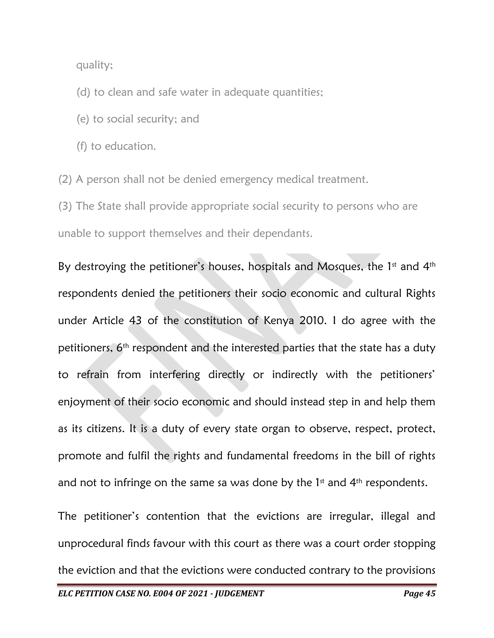quality;

(d) to clean and safe water in adequate quantities;

- (e) to social security; and
- (f) to education.

(2) A person shall not be denied emergency medical treatment.

(3) The State shall provide appropriate social security to persons who are unable to support themselves and their dependants.

By destroying the petitioner's houses, hospitals and Mosques, the  $1<sup>st</sup>$  and  $4<sup>th</sup>$ respondents denied the petitioners their socio economic and cultural Rights under Article 43 of the constitution of Kenya 2010. I do agree with the petitioners, 6<sup>th</sup> respondent and the interested parties that the state has a duty to refrain from interfering directly or indirectly with the petitioners' enjoyment of their socio economic and should instead step in and help them as its citizens. It is a duty of every state organ to observe, respect, protect, promote and fulfil the rights and fundamental freedoms in the bill of rights and not to infringe on the same sa was done by the  $1<sup>st</sup>$  and  $4<sup>th</sup>$  respondents.

The petitioner's contention that the evictions are irregular, illegal and unprocedural finds favour with this court as there was a court order stopping the eviction and that the evictions were conducted contrary to the provisions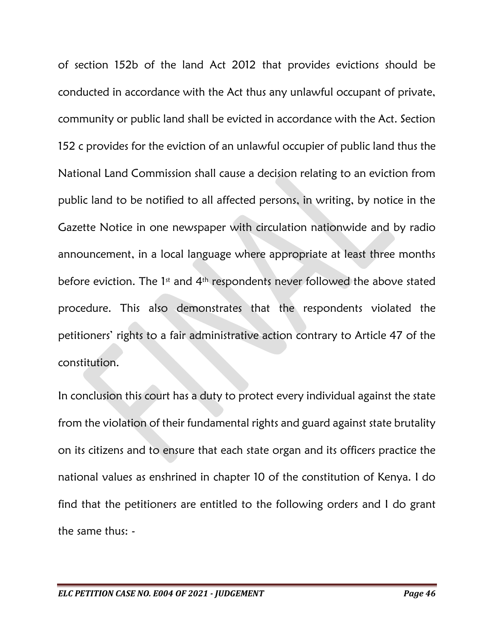of section 152b of the land Act 2012 that provides evictions should be conducted in accordance with the Act thus any unlawful occupant of private, community or public land shall be evicted in accordance with the Act. Section 152 c provides for the eviction of an unlawful occupier of public land thus the National Land Commission shall cause a decision relating to an eviction from public land to be notified to all affected persons, in writing, by notice in the Gazette Notice in one newspaper with circulation nationwide and by radio announcement, in a local language where appropriate at least three months before eviction. The 1<sup>st</sup> and 4<sup>th</sup> respondents never followed the above stated procedure. This also demonstrates that the respondents violated the petitioners' rights to a fair administrative action contrary to Article 47 of the constitution.

In conclusion this court has a duty to protect every individual against the state from the violation of their fundamental rights and guard against state brutality on its citizens and to ensure that each state organ and its officers practice the national values as enshrined in chapter 10 of the constitution of Kenya. I do find that the petitioners are entitled to the following orders and I do grant the same thus: -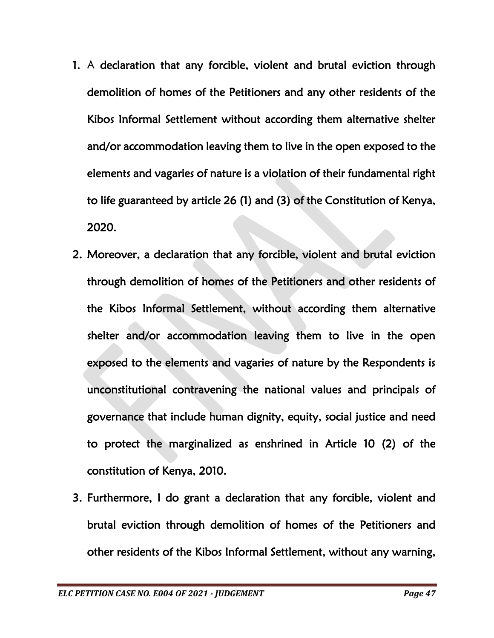- 1. A declaration that any forcible, violent and brutal eviction through demolition of homes of the Petitioners and any other residents of the Kibos Informal Settlement without according them alternative shelter and/or accommodation leaving them to live in the open exposed to the elements and vagaries of nature is a violation of their fundamental right to life guaranteed by article 26 (1) and (3) of the Constitution of Kenya, 2020.
- 2. Moreover, a declaration that any forcible, violent and brutal eviction through demolition of homes of the Petitioners and other residents of the Kibos Informal Settlement, without according them alternative shelter and/or accommodation leaving them to live in the open exposed to the elements and vagaries of nature by the Respondents is unconstitutional contravening the national values and principals of governance that include human dignity, equity, social justice and need to protect the marginalized as enshrined in Article 10 (2) of the constitution of Kenya, 2010.
- 3. Furthermore, I do grant a declaration that any forcible, violent and brutal eviction through demolition of homes of the Petitioners and other residents of the Kibos Informal Settlement, without any warning,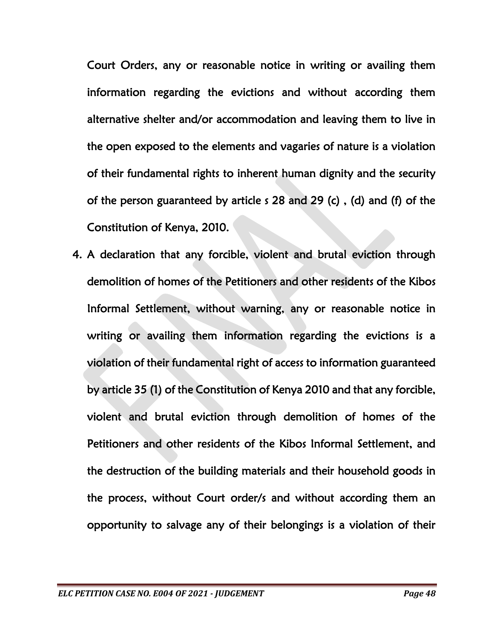Court Orders, any or reasonable notice in writing or availing them information regarding the evictions and without according them alternative shelter and/or accommodation and leaving them to live in the open exposed to the elements and vagaries of nature is a violation of their fundamental rights to inherent human dignity and the security of the person guaranteed by article s 28 and 29 (c) , (d) and (f) of the Constitution of Kenya, 2010.

4. A declaration that any forcible, violent and brutal eviction through demolition of homes of the Petitioners and other residents of the Kibos Informal Settlement, without warning, any or reasonable notice in writing or availing them information regarding the evictions is a violation of their fundamental right of access to information guaranteed by article 35 (1) of the Constitution of Kenya 2010 and that any forcible, violent and brutal eviction through demolition of homes of the Petitioners and other residents of the Kibos Informal Settlement, and the destruction of the building materials and their household goods in the process, without Court order/s and without according them an opportunity to salvage any of their belongings is a violation of their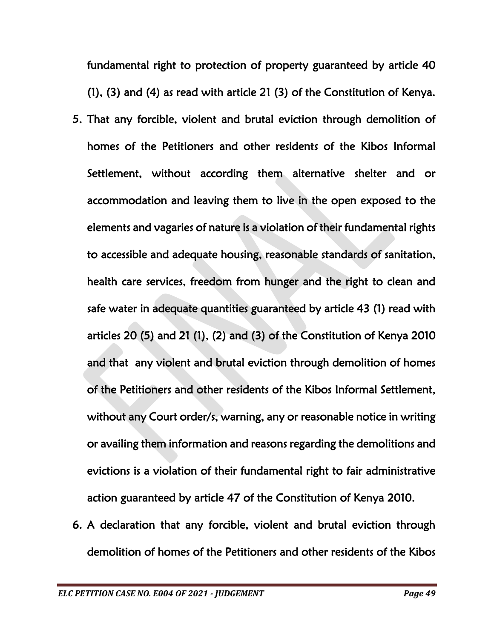fundamental right to protection of property guaranteed by article 40 (1), (3) and (4) as read with article 21 (3) of the Constitution of Kenya.

- 5. That any forcible, violent and brutal eviction through demolition of homes of the Petitioners and other residents of the Kibos Informal Settlement, without according them alternative shelter and or accommodation and leaving them to live in the open exposed to the elements and vagaries of nature is a violation of their fundamental rights to accessible and adequate housing, reasonable standards of sanitation, health care services, freedom from hunger and the right to clean and safe water in adequate quantities guaranteed by article 43 (1) read with articles 20 (5) and 21 (1), (2) and (3) of the Constitution of Kenya 2010 and that any violent and brutal eviction through demolition of homes of the Petitioners and other residents of the Kibos Informal Settlement, without any Court order/s, warning, any or reasonable notice in writing or availing them information and reasons regarding the demolitions and evictions is a violation of their fundamental right to fair administrative action guaranteed by article 47 of the Constitution of Kenya 2010.
- 6. A declaration that any forcible, violent and brutal eviction through demolition of homes of the Petitioners and other residents of the Kibos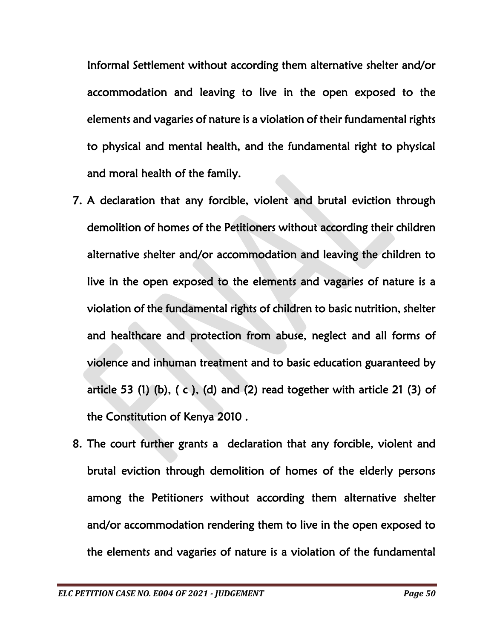Informal Settlement without according them alternative shelter and/or accommodation and leaving to live in the open exposed to the elements and vagaries of nature is a violation of their fundamental rights to physical and mental health, and the fundamental right to physical and moral health of the family.

- 7. A declaration that any forcible, violent and brutal eviction through demolition of homes of the Petitioners without according their children alternative shelter and/or accommodation and leaving the children to live in the open exposed to the elements and vagaries of nature is a violation of the fundamental rights of children to basic nutrition, shelter and healthcare and protection from abuse, neglect and all forms of violence and inhuman treatment and to basic education guaranteed by article 53 (1) (b),  $(c)$ , (d) and (2) read together with article 21 (3) of the Constitution of Kenya 2010 .
- 8. The court further grants a declaration that any forcible, violent and brutal eviction through demolition of homes of the elderly persons among the Petitioners without according them alternative shelter and/or accommodation rendering them to live in the open exposed to the elements and vagaries of nature is a violation of the fundamental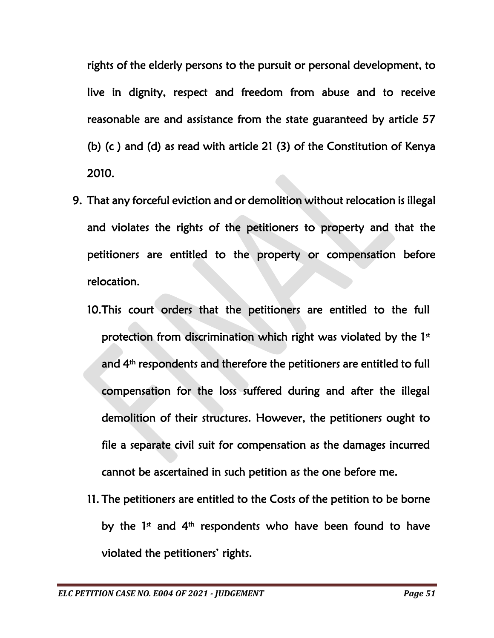rights of the elderly persons to the pursuit or personal development, to live in dignity, respect and freedom from abuse and to receive reasonable are and assistance from the state guaranteed by article 57 (b) (c ) and (d) as read with article 21 (3) of the Constitution of Kenya 2010.

- 9. That any forceful eviction and or demolition without relocation is illegal and violates the rights of the petitioners to property and that the petitioners are entitled to the property or compensation before relocation.
	- 10.This court orders that the petitioners are entitled to the full protection from discrimination which right was violated by the 1st and 4th respondents and therefore the petitioners are entitled to full compensation for the loss suffered during and after the illegal demolition of their structures. However, the petitioners ought to file a separate civil suit for compensation as the damages incurred cannot be ascertained in such petition as the one before me.
	- 11. The petitioners are entitled to the Costs of the petition to be borne by the 1<sup>st</sup> and 4<sup>th</sup> respondents who have been found to have violated the petitioners' rights.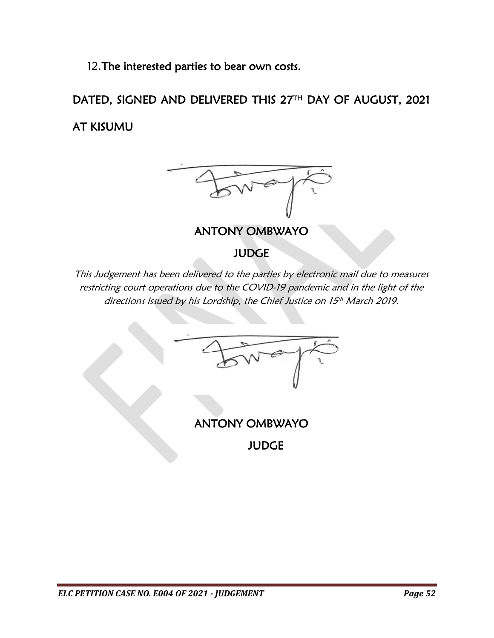12.The interested parties to bear own costs.

DATED, SIGNED AND DELIVERED THIS 27TH DAY OF AUGUST, 2021 AT KISUMU



ANTONY OMBWAYO

JUDGE

This Judgement has been delivered to the parties by electronic mail due to measures restricting court operations due to the COVID-19 pandemic and in the light of the directions issued by his Lordship, the Chief Justice on 15 th March 2019.

ANTONY OMBWAYO

JUDGE